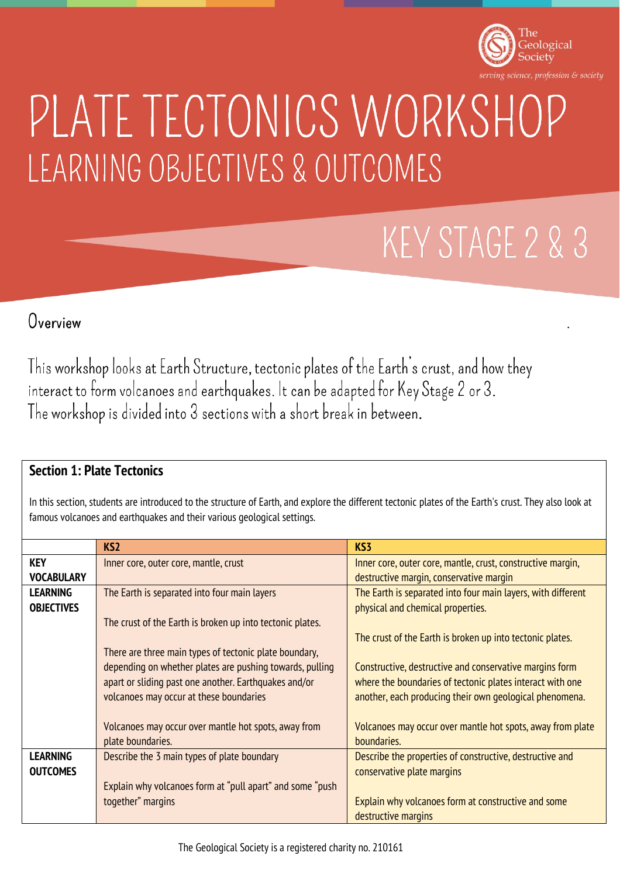

.

# PLATE TECTONICS WORKSHOP LEARNING OBJECTIVES & OUTCOMES

## KEY STAGE 2 & 3

## Overview

This workshop looks at Earth Structure, tectonic plates of the Earth's crust, and how they interact to form volcanoes and earthquakes. It can be adapted for Key Stage 2 or 3. The workshop is divided into 3 sections with a short break in between.

### **Section 1: Plate Tectonics**

In this section, students are introduced to the structure of Earth, and explore the different tectonic plates of the Earth's crust. They also look at famous volcanoes and earthquakes and their various geological settings.

|                   | KS <sub>2</sub>                                           | KS3                                                          |
|-------------------|-----------------------------------------------------------|--------------------------------------------------------------|
| <b>KEY</b>        | Inner core, outer core, mantle, crust                     | Inner core, outer core, mantle, crust, constructive margin,  |
| <b>VOCABULARY</b> |                                                           | destructive margin, conservative margin                      |
| <b>LEARNING</b>   | The Earth is separated into four main layers              | The Earth is separated into four main layers, with different |
| <b>OBJECTIVES</b> |                                                           | physical and chemical properties.                            |
|                   | The crust of the Earth is broken up into tectonic plates. |                                                              |
|                   |                                                           | The crust of the Earth is broken up into tectonic plates.    |
|                   | There are three main types of tectonic plate boundary,    |                                                              |
|                   | depending on whether plates are pushing towards, pulling  | Constructive, destructive and conservative margins form      |
|                   | apart or sliding past one another. Earthquakes and/or     | where the boundaries of tectonic plates interact with one    |
|                   | volcanoes may occur at these boundaries                   | another, each producing their own geological phenomena.      |
|                   |                                                           |                                                              |
|                   | Volcanoes may occur over mantle hot spots, away from      | Volcanoes may occur over mantle hot spots, away from plate   |
|                   | plate boundaries.                                         | boundaries.                                                  |
| <b>LEARNING</b>   | Describe the 3 main types of plate boundary               | Describe the properties of constructive, destructive and     |
| <b>OUTCOMES</b>   |                                                           | conservative plate margins                                   |
|                   | Explain why volcanoes form at "pull apart" and some "push |                                                              |
|                   | together" margins                                         | Explain why volcanoes form at constructive and some          |
|                   |                                                           | destructive margins                                          |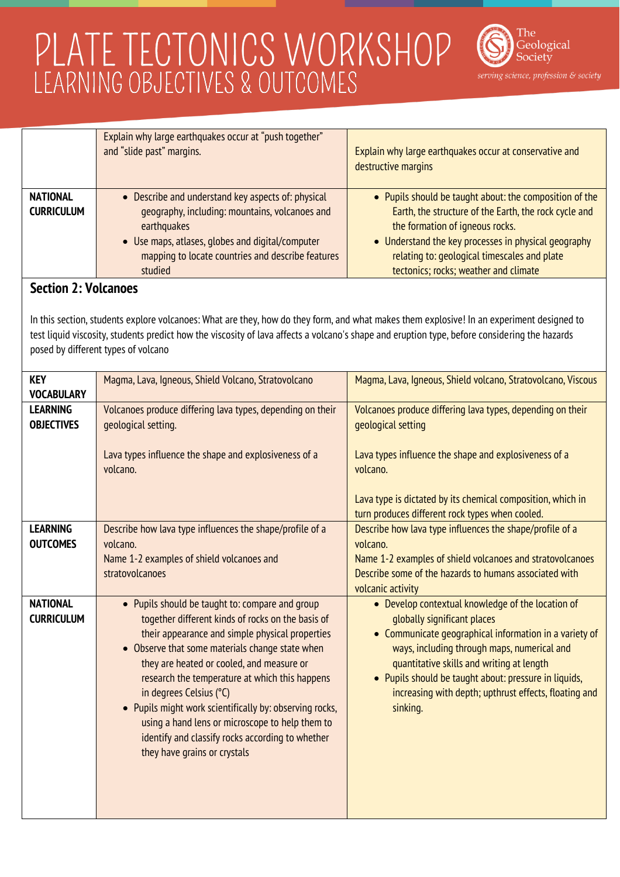

| <b>NATIONAL</b><br><b>CURRICULUM</b>                                                                                                                                                                                                                                                                                                                             | Explain why large earthquakes occur at "push together"<br>and "slide past" margins.<br>• Describe and understand key aspects of: physical<br>geography, including: mountains, volcanoes and                                                                                                                                                                                                                                                                                                                                            | Explain why large earthquakes occur at conservative and<br>destructive margins<br>• Pupils should be taught about: the composition of the<br>Earth, the structure of the Earth, the rock cycle and                                                                                                                                                                   |  |
|------------------------------------------------------------------------------------------------------------------------------------------------------------------------------------------------------------------------------------------------------------------------------------------------------------------------------------------------------------------|----------------------------------------------------------------------------------------------------------------------------------------------------------------------------------------------------------------------------------------------------------------------------------------------------------------------------------------------------------------------------------------------------------------------------------------------------------------------------------------------------------------------------------------|----------------------------------------------------------------------------------------------------------------------------------------------------------------------------------------------------------------------------------------------------------------------------------------------------------------------------------------------------------------------|--|
|                                                                                                                                                                                                                                                                                                                                                                  | earthquakes<br>• Use maps, atlases, globes and digital/computer<br>mapping to locate countries and describe features<br>studied                                                                                                                                                                                                                                                                                                                                                                                                        | the formation of igneous rocks.<br>• Understand the key processes in physical geography<br>relating to: geological timescales and plate<br>tectonics; rocks; weather and climate                                                                                                                                                                                     |  |
| <b>Section 2: Volcanoes</b><br>In this section, students explore volcanoes: What are they, how do they form, and what makes them explosive! In an experiment designed to<br>test liquid viscosity, students predict how the viscosity of lava affects a volcano's shape and eruption type, before considering the hazards<br>posed by different types of volcano |                                                                                                                                                                                                                                                                                                                                                                                                                                                                                                                                        |                                                                                                                                                                                                                                                                                                                                                                      |  |
| <b>KEY</b><br><b>VOCABULARY</b>                                                                                                                                                                                                                                                                                                                                  | Magma, Lava, Igneous, Shield Volcano, Stratovolcano                                                                                                                                                                                                                                                                                                                                                                                                                                                                                    | Magma, Lava, Igneous, Shield volcano, Stratovolcano, Viscous                                                                                                                                                                                                                                                                                                         |  |
| <b>LEARNING</b><br><b>OBJECTIVES</b>                                                                                                                                                                                                                                                                                                                             | Volcanoes produce differing lava types, depending on their<br>geological setting.<br>Lava types influence the shape and explosiveness of a<br>volcano.                                                                                                                                                                                                                                                                                                                                                                                 | Volcanoes produce differing lava types, depending on their<br>geological setting<br>Lava types influence the shape and explosiveness of a<br>volcano.                                                                                                                                                                                                                |  |
|                                                                                                                                                                                                                                                                                                                                                                  |                                                                                                                                                                                                                                                                                                                                                                                                                                                                                                                                        | Lava type is dictated by its chemical composition, which in<br>turn produces different rock types when cooled.                                                                                                                                                                                                                                                       |  |
| <b>LEARNING</b><br><b>OUTCOMES</b>                                                                                                                                                                                                                                                                                                                               | Describe how lava type influences the shape/profile of a<br>volcano.<br>Name 1-2 examples of shield volcanoes and<br>stratovolcanoes                                                                                                                                                                                                                                                                                                                                                                                                   | Describe how lava type influences the shape/profile of a<br>volcano.<br>Name 1-2 examples of shield volcanoes and stratovolcanoes<br>Describe some of the hazards to humans associated with<br>volcanic activity                                                                                                                                                     |  |
| <b>NATIONAL</b><br><b>CURRICULUM</b>                                                                                                                                                                                                                                                                                                                             | • Pupils should be taught to: compare and group<br>together different kinds of rocks on the basis of<br>their appearance and simple physical properties<br>• Observe that some materials change state when<br>they are heated or cooled, and measure or<br>research the temperature at which this happens<br>in degrees Celsius (°C)<br>• Pupils might work scientifically by: observing rocks,<br>using a hand lens or microscope to help them to<br>identify and classify rocks according to whether<br>they have grains or crystals | • Develop contextual knowledge of the location of<br>globally significant places<br>• Communicate geographical information in a variety of<br>ways, including through maps, numerical and<br>quantitative skills and writing at length<br>• Pupils should be taught about: pressure in liquids,<br>increasing with depth; upthrust effects, floating and<br>sinking. |  |